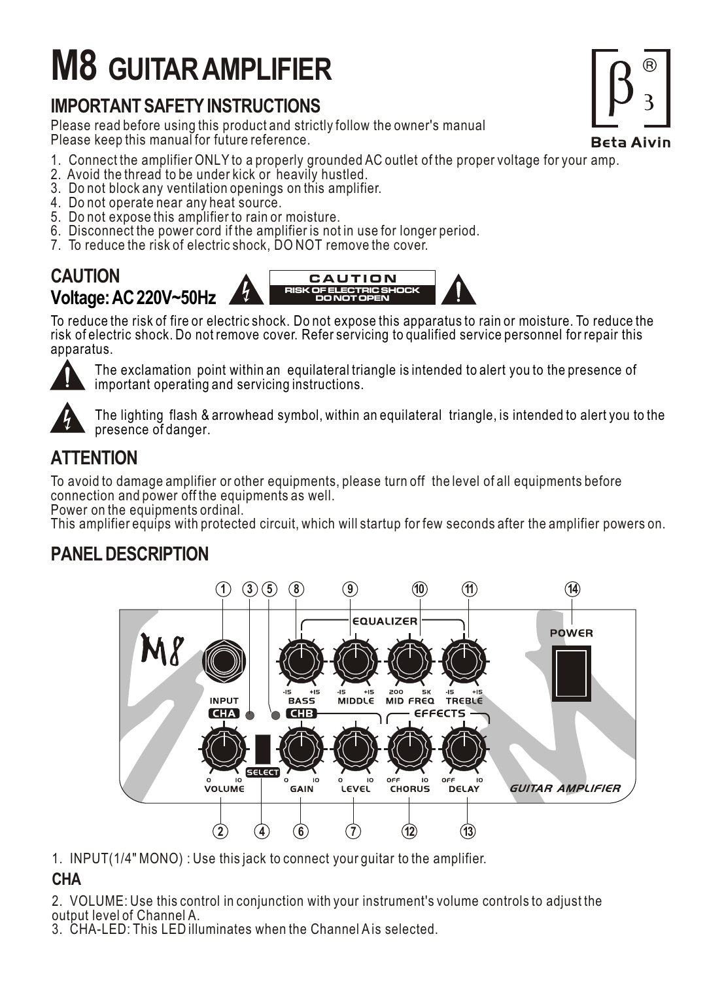# **M8 GUITAR AMPLIFIER**

## **IMPORTANT SAFETY INSTRUCTIONS**

Please read before using this product and strictly follow the owner's manual Please keep this manual for future reference.

- 1. Connect the amplifier ONLY to a properly grounded AC outlet of the proper voltage for your amp.
- 2. Avoid the thread to be under kick or heavily hustled.
- 3. Do not block any ventilation openings on this amplifier.
- 4. Do not operate near any heat source.
- 5. Do not expose this amplifier to rain or moisture.
- 6. Disconnect the power cord if the amplifier is not in use for longer period.
- 7. To reduce the risk of electric shock, DO NOT remove the cover.

#### **CAUTION Voltage: AC 220V~50Hz CAUTION** RISK OF ELECTRIC SHOCK DO NOT OPEN

To reduce the risk of fire or electric shock. Do not expose this apparatus to rain or moisture. To reduce the risk of electric shock. Do not remove cover. Refer servicing to qualified service personnel for repair this apparatus.



The exclamation point within an equilateral triangle is intended to alert you to the presence of important operating and servicing instructions.



The lighting flash & arrowhead symbol, within an equilateral triangle, is intended to alert you to the presence of danger.

## **ATTENTION**

To avoid to damage amplifier or other equipments, please turn off the level of all equipments before connection and power off the equipments as well.

Power on the equipments ordinal.

This amplifier equips with protected circuit, which will startup for few seconds after the amplifier powers on.

## **PANEL DESCRIPTION**



1. INPUT(1/4" MONO) : Use this jack to connect your guitar to the amplifier.

### **CHA**

2. VOLUME: Use this control in conjunction with your instrument's volume controls to adjust the output level of Channel A.

3. CHA-LED: This LED illuminates when the Channel A is selected.